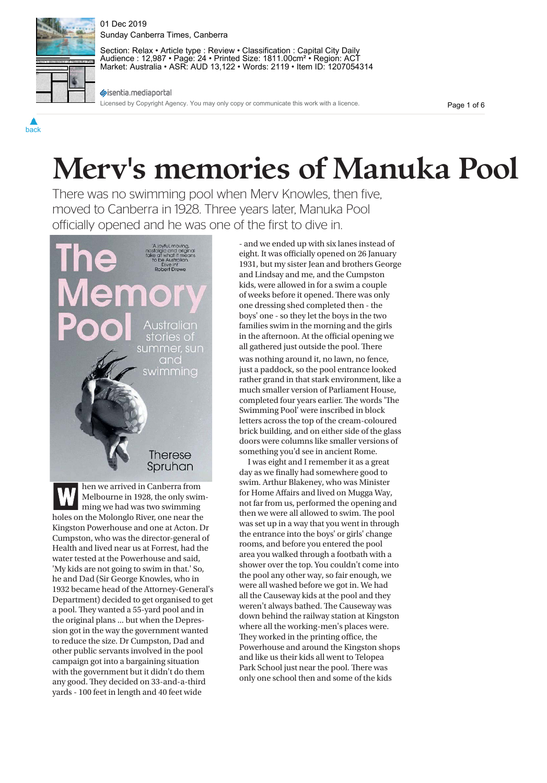

01 Dec 2019 Sunday Canberra Times, Canberra

Section: Relax • Article type : Review • Classification : Capital City Daily Audience : 12,987 • Page: 24 • Printed Size: 1811.00cm² • Region: ACT Market: Australia • ASR: AUD 13,122 • Words: 2119 • Item ID: 1207054314

sisentia.mediaportal

Licensed by Copyright Agency. You may only copy or communicate this work with a licence.

Page 1 of 6

# **Merv's memories of Manuka Pool**

There was no swimming pool when Merv Knowles, then five, moved to Canberra in 1928. Three years later, Manuka Pool officially opened and he was one of the first to dive in.



**W** hen we arrived in Canberra from<br>Melbourne in 1928, the only swir<br>ming we had was two swimming Melbourne in 1928, the only swimholes on the Molonglo River, one near the Kingston Powerhouse and one at Acton. Dr Cumpston, who was the director-general of Health and lived near us at Forrest, had the water tested at the Powerhouse and said, 'My kids are not going to swim in that.' So, he and Dad (Sir George Knowles, who in 1932 became head of the Attorney-General's Department) decided to get organised to get a pool. They wanted a 55-yard pool and in the original plans ... but when the Depression got in the way the government wanted to reduce the size. Dr Cumpston, Dad and other public servants involved in the pool campaign got into a bargaining situation with the government but it didn't do them any good. They decided on 33-and-a-third yards - 100 feet in length and 40 feet wide

- and we ended up with six lanes instead of eight. It was officially opened on 26 January 1931, but my sister Jean and brothers George and Lindsay and me, and the Cumpston kids, were allowed in for a swim a couple of weeks before it opened. There was only one dressing shed completed then - the boys' one - so they let the boys in the two families swim in the morning and the girls in the afternoon. At the official opening we all gathered just outside the pool. There was nothing around it, no lawn, no fence,

just a paddock, so the pool entrance looked rather grand in that stark environment, like a much smaller version of Parliament House, completed four years earlier. The words 'The Swimming Pool' were inscribed in block letters across the top of the cream-coloured brick building, and on either side of the glass doors were columns like smaller versions of something you'd see in ancient Rome.

I was eight and I remember it as a great day as we finally had somewhere good to swim. Arthur Blakeney, who was Minister for Home Affairs and lived on Mugga Way, not far from us, performed the opening and then we were all allowed to swim. The pool was set up in a way that you went in through the entrance into the boys' or girls' change rooms, and before you entered the pool area you walked through a footbath with a shower over the top. You couldn't come into the pool any other way, so fair enough, we were all washed before we got in. We had all the Causeway kids at the pool and they weren't always bathed. The Causeway was down behind the railway station at Kingston where all the working-men's places were. They worked in the printing office, the Powerhouse and around the Kingston shops and like us their kids all went to Telopea Park School just near the pool. There was only one school then and some of the kids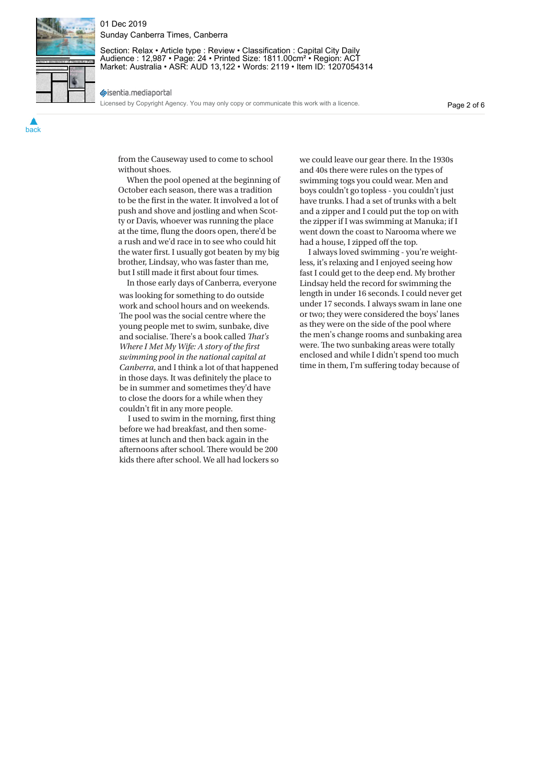

## 01 Dec 2019 Sunday Canberra Times, Canberra

Section: Relax • Article type : Review • Classification : Capital City Daily Audience : 12,987 • Page: 24 • Printed Size: 1811.00cm² • Region: ACT Market: Australia • ASR: AUD 13,122 • Words: 2119 • Item ID: 1207054314

sisentia.mediaportal

Licensed by Copyright Agency. You may only copy or communicate this work with a licence.

from the Causeway used to come to school without shoes.

When the pool opened at the beginning of October each season, there was a tradition to be the first in the water. It involved a lot of push and shove and jostling and when Scotty or Davis, whoever was running the place at the time, flung the doors open, there'd be a rush and we'd race in to see who could hit the water first. I usually got beaten by my big brother, Lindsay, who was faster than me, but I still made it first about four times.

In those early days of Canberra, everyone was looking for something to do outside work and school hours and on weekends. The pool was the social centre where the young people met to swim, sunbake, dive and socialise. There's a book called *That's swimming pool in the national capital at Canberra*, and I think a lot of that happened<br>*in those days* It was definitely the place to in those days. It was definitely the place to be in summer and sometimes they'd have to close the doors for a while when they couldn't fit in any more people.

I used to swim in the morning, first thing before we had breakfast, and then sometimes at lunch and then back again in the afternoons after school. There would be 200 kids there after school. We all had lockers so we could leave our gear there. In the 1930s and 40s there were rules on the types of swimming togs you could wear. Men and boys couldn't go topless - you couldn't just have trunks. I had a set of trunks with a belt and a zipper and I could put the top on with the zipper if I was swimming at Manuka; if I went down the coast to Narooma where we had a house, I zipped off the top.

I always loved swimming - you're weightless, it's relaxing and I enjoyed seeing how fast I could get to the deep end. My brother Lindsay held the record for swimming the length in under 16 seconds. I could never get under 17 seconds. I always swam in lane one or two; they were considered the boys' lanes as they were on the side of the pool where the men's change rooms and sunbaking area were. The two sunbaking areas were totally enclosed and while I didn't spend too much time in them, I'm suffering today because of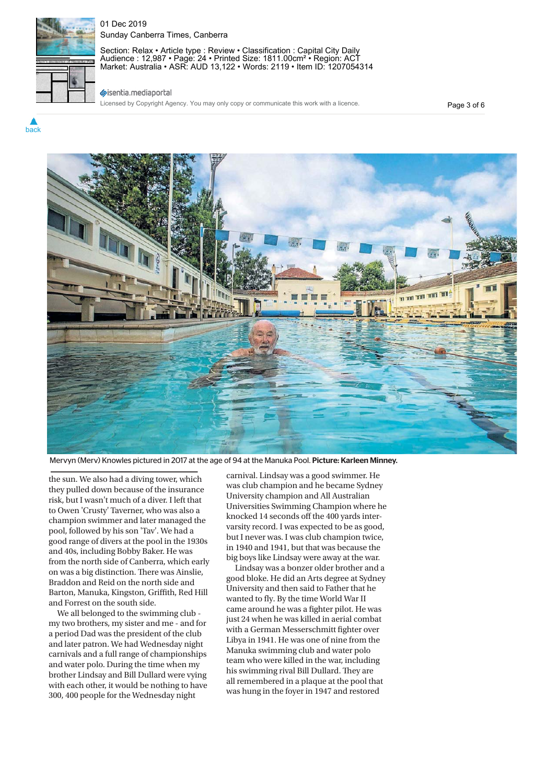

## 01 Dec 2019 Sunday Canberra Times, Canberra

Section: Relax • Article type : Review • Classification : Capital City Daily Audience : 12,987 • Page: 24 • Printed Size: 1811.00cm² • Region: ACT Market: Australia • ASR: AUD 13,122 • Words: 2119 • Item ID: 1207054314

## sisentia.mediaportal

Licensed by Copyright Agency. You may only copy or communicate this work with a licence.

Page 3 of 6



Mervyn (Merv) Knowles pictured in 2017 at the age of 94 at the Manuka Pool. <mark>Picture: Karleen Minney.</mark><br>.

the sun. We also had a diving tower, which they pulled down because of the insurance risk, but I wasn't much of a diver. I left that to Owen 'Crusty' Taverner, who was also a champion swimmer and later managed the pool, followed by his son 'Tav'. We had a good range of divers at the pool in the 1930s and 40s, including Bobby Baker. He was from the north side of Canberra, which early on was a big distinction. There was Ainslie, Braddon and Reid on the north side and Barton, Manuka, Kingston, Griffith, Red Hill and Forrest on the south side.

We all belonged to the swimming club my two brothers, my sister and me - and for a period Dad was the president of the club and later patron. We had Wednesday night carnivals and a full range of championships and water polo. During the time when my brother Lindsay and Bill Dullard were vying with each other, it would be nothing to have 300, 400 people for the Wednesday night

carnival. Lindsay was a good swimmer. He was club champion and he became Sydney University champion and All Australian Universities Swimming Champion where he knocked 14 seconds off the 400 yards intervarsity record. I was expected to be as good, but I never was. I was club champion twice, in 1940 and 1941, but that was because the big boys like Lindsay were away at the war.

Lindsay was a bonzer older brother and a good bloke. He did an Arts degree at Sydney University and then said to Father that he wanted to fly. By the time World War II came around he was a fighter pilot. He was just 24 when he was killed in aerial combat with a German Messerschmitt fighter over Libya in 1941. He was one of nine from the Manuka swimming club and water polo team who were killed in the war, including his swimming rival Bill Dullard. They are all remembered in a plaque at the pool that was hung in the foyer in 1947 and restored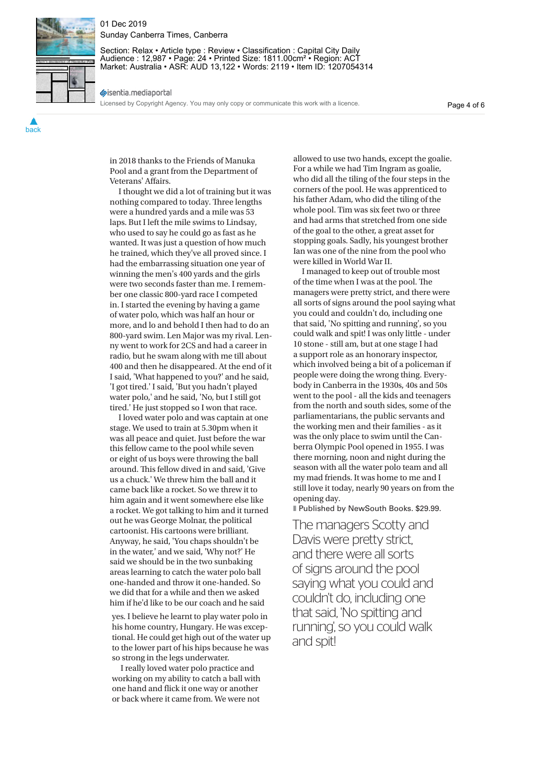

#### 01 Dec 2019 Sunday Canberra Times, Canberra

Section: Relax • Article type : Review • Classification : Capital City Daily Audience : 12,987 • Page: 24 • Printed Size: 1811.00cm² • Region: ACT Market: Australia • ASR: AUD 13,122 • Words: 2119 • Item ID: 1207054314

sisentia.mediaportal

Licensed by Copyright Agency. You may only copy or communicate this work with a licence.

Page 4 of 6

in 2018 thanks to the Friends of Manuka Pool and a grant from the Department of Veterans' Affairs.

I thought we did a lot of training but it was nothing compared to today. Three lengths were a hundred yards and a mile was 53 laps. But I left the mile swims to Lindsay, who used to say he could go as fast as he wanted. It was just a question of how much he trained, which they've all proved since. I had the embarrassing situation one year of winning the men's 400 yards and the girls were two seconds faster than me. I remember one classic 800-yard race I competed in. I started the evening by having a game of water polo, which was half an hour or more, and lo and behold I then had to do an 800-yard swim. Len Major was my rival. Lenny went to work for 2CS and had a career in radio, but he swam along with me till about 400 and then he disappeared. At the end of it I said, 'What happened to you?' and he said, 'I got tired.' I said, 'But you hadn't played water polo,' and he said, 'No, but I still got tired.' He just stopped so I won that race.

I loved water polo and was captain at one stage. We used to train at 5.30pm when it was all peace and quiet. Just before the war this fellow came to the pool while seven or eight of us boys were throwing the ball around. This fellow dived in and said, 'Give us a chuck.' We threw him the ball and it came back like a rocket. So we threw it to him again and it went somewhere else like a rocket. We got talking to him and it turned out he was George Molnar, the political cartoonist. His cartoons were brilliant. Anyway, he said, 'You chaps shouldn't be in the water,' and we said, 'Why not?' He said we should be in the two sunbaking areas learning to catch the water polo ball one-handed and throw it one-handed. So we did that for a while and then we asked him if he'd like to be our coach and he said

yes. I believe he learnt to play water polo in his home country, Hungary. He was exceptional. He could get high out of the water up to the lower part of his hips because he was so strong in the legs underwater.

I really loved water polo practice and working on my ability to catch a ball with one hand and flick it one way or another or back where it came from. We were not

allowed to use two hands, except the goalie. For a while we had Tim Ingram as goalie, who did all the tiling of the four steps in the corners of the pool. He was apprenticed to his father Adam, who did the tiling of the whole pool. Tim was six feet two or three and had arms that stretched from one side of the goal to the other, a great asset for stopping goals. Sadly, his youngest brother Ian was one of the nine from the pool who were killed in World War II.

I managed to keep out of trouble most of the time when I was at the pool. The managers were pretty strict, and there were all sorts of signs around the pool saying what you could and couldn't do, including one that said, 'No spitting and running', so you could walk and spit! I was only little - under 10 stone - still am, but at one stage I had a support role as an honorary inspector, which involved being a bit of a policeman if people were doing the wrong thing. Everybody in Canberra in the 1930s, 40s and 50s went to the pool - all the kids and teenagers from the north and south sides, some of the parliamentarians, the public servants and the working men and their families - as it was the only place to swim until the Canberra Olympic Pool opened in 1955. I was there morning, noon and night during the season with all the water polo team and all my mad friends. It was home to me and I still love it today, nearly 90 years on from the opening day.

■ Published by NewSouth Books. \$29.99.

The managers Scotty and Davis were pretty strict, and there were all sorts of signs around the pool saying what you could and couldn't do, including one that said, 'No spitting and running', so you could walk and spit!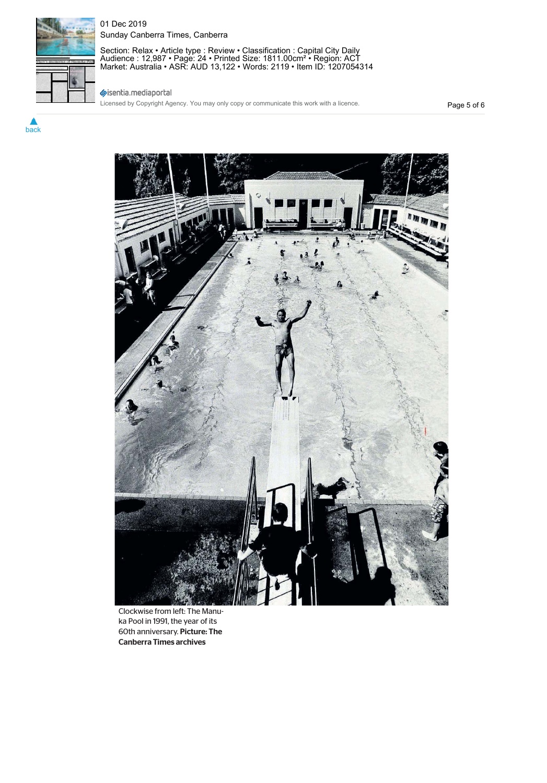

# 01 Dec 2019 Sunday Canberra Times, Canberra

Section: Relax • Article type : Review • Classification : Capital City Daily Audience : 12,987 • Page: 24 • Printed Size: 1811.00cm² • Region: ACT Market: Australia • ASR: AUD 13,122 • Words: 2119 • Item ID: 1207054314

# sisentia.mediaportal

Licensed by Copyright Agency. You may only copy or communicate this work with a licence.

Page 5 of 6



Clockwise from left: The Manuka Pool in 1991, the year of its 60th anniversary. Picture: The Canberra Times archives